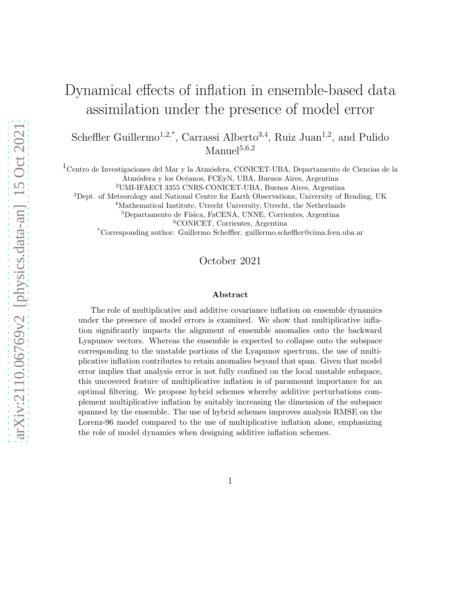# Dynamical effects of inflation in ensemble-based data assimilation under the presence of model error

Scheffler Guillermo<sup>1,2,\*</sup>, Carrassi Alberto<sup>3,4</sup>, Ruiz Juan<sup>1,2</sup>, and Pulido  $M$ anuel $5,6,2$ 

 $^1\rm Centro$ de Investigaciones del Mar y la Atmósfera, CONICET-UBA, Departamento de Ciencias de la Atmósfera y los Océanos, FCEyN, UBA, Buenos Aires, Argentina

<sup>2</sup>UMI-IFAECI 3355 CNRS-CONICET-UBA, Buenos Aires, Argentina

<sup>3</sup>Dept. of Meteorology and National Centre for Earth Observations, University of Reading, UK

<sup>4</sup>Mathematical Institute, Utrecht University, Utrecht, the Netherlands

<sup>5</sup>Departamento de Física, FaCENA, UNNE, Corrientes, Argentina

<sup>6</sup>CONICET, Corrientes, Argentina

\*Corresponding author: Guillermo Scheffler, guillermo.scheffler@cima.fcen.uba.ar

October 2021

#### Abstract

The role of multiplicative and additive covariance inflation on ensemble dynamics under the presence of model errors is examined. We show that multiplicative inflation significantly impacts the alignment of ensemble anomalies onto the backward Lyapunov vectors. Whereas the ensemble is expected to collapse onto the subspace corresponding to the unstable portions of the Lyapunov spectrum, the use of multiplicative inflation contributes to retain anomalies beyond that span. Given that model error implies that analysis error is not fully confined on the local unstable subspace, this uncovered feature of multiplicative inflation is of paramount importance for an optimal filtering. We propose hybrid schemes whereby additive perturbations complement multiplicative inflation by suitably increasing the dimension of the subspace spanned by the ensemble. The use of hybrid schemes improves analysis RMSE on the Lorenz-96 model compared to the use of multiplicative inflation alone, emphasizing the role of model dynamics when designing additive inflation schemes.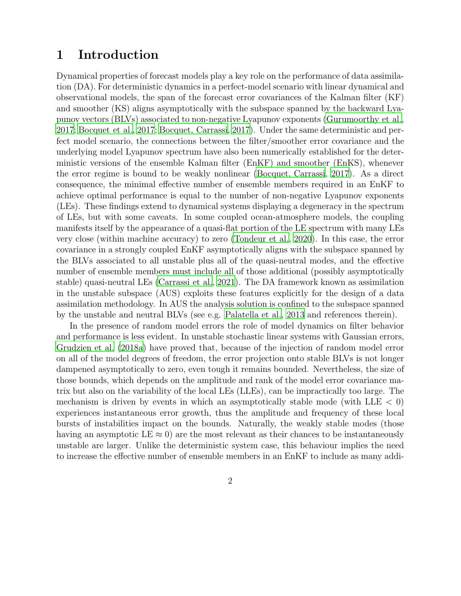### 1 Introduction

Dynamical properties of forecast models play a key role on the performance of data assimilation (DA). For deterministic dynamics in a perfect-model scenario with linear dynamical and observational models, the span of the forecast error covariances of the Kalman filter (KF) and smoother (KS) aligns asymptotically with the subspace spanned by the backward Lyapunov vectors (BLVs) associated to non-negative Lyapunov exponents [\(Gurumoorthy et al.,](#page-23-0) [2017](#page-23-0); [Bocquet et al.](#page-22-0), [2017;](#page-22-0) [Bocquet, Carrassi](#page-22-1), [2017\)](#page-22-1). Under the same deterministic and perfect model scenario, the connections between the filter/smoother error covariance and the underlying model Lyapunov spectrum have also been numerically established for the deterministic versions of the ensemble Kalman filter (EnKF) and smoother (EnKS), whenever the error regime is bound to be weakly nonlinear [\(Bocquet, Carrassi](#page-22-1), [2017\)](#page-22-1). As a direct consequence, the minimal effective number of ensemble members required in an EnKF to achieve optimal performance is equal to the number of non-negative Lyapunov exponents (LEs). These findings extend to dynamical systems displaying a degeneracy in the spectrum of LEs, but with some caveats. In some coupled ocean-atmosphere models, the coupling manifests itself by the appearance of a quasi-flat portion of the LE spectrum with many LEs very close (within machine accuracy) to zero [\(Tondeur et al., 2020](#page-24-0)). In this case, the error covariance in a strongly coupled EnKF asymptotically aligns with the subspace spanned by the BLVs associated to all unstable plus all of the quasi-neutral modes, and the effective number of ensemble members must include all of those additional (possibly asymptotically stable) quasi-neutral LEs [\(Carrassi et al.](#page-22-2), [2021](#page-22-2)). The DA framework known as assimilation in the unstable subspace (AUS) exploits these features explicitly for the design of a data assimilation methodology. In AUS the analysis solution is confined to the subspace spanned by the unstable and neutral BLVs (see e.g. [Palatella et al., 2013](#page-24-1) and references therein).

In the presence of random model errors the role of model dynamics on filter behavior and performance is less evident. In unstable stochastic linear systems with Gaussian errors, [Grudzien et al. \(2018a\)](#page-23-1) have proved that, because of the injection of random model error on all of the model degrees of freedom, the error projection onto stable BLVs is not longer dampened asymptotically to zero, even tough it remains bounded. Nevertheless, the size of those bounds, which depends on the amplitude and rank of the model error covariance matrix but also on the variability of the local LEs (LLEs), can be impractically too large. The mechanism is driven by events in which an asymptotically stable mode (with  $LLE < 0$ ) experiences instantaneous error growth, thus the amplitude and frequency of these local bursts of instabilities impact on the bounds. Naturally, the weakly stable modes (those having an asymptotic LE  $\approx$  0) are the most relevant as their chances to be instantaneously unstable are larger. Unlike the deterministic system case, this behaviour implies the need to increase the effective number of ensemble members in an EnKF to include as many addi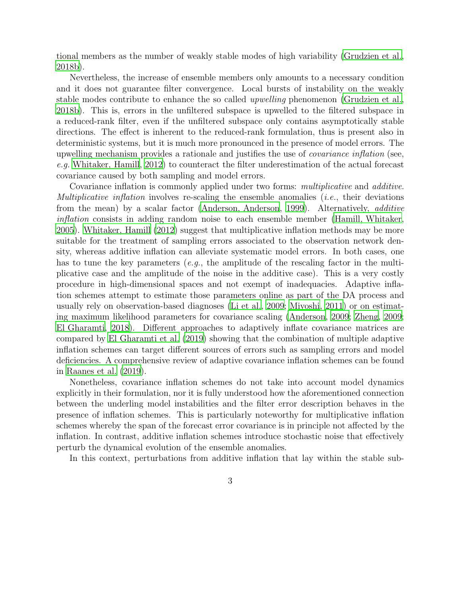tional members as the number of weakly stable modes of high variability [\(Grudzien et al.,](#page-23-2) [2018b\)](#page-23-2).

Nevertheless, the increase of ensemble members only amounts to a necessary condition and it does not guarantee filter convergence. Local bursts of instability on the weakly stable modes contribute to enhance the so called upwelling phenomenon [\(Grudzien et al.,](#page-23-2) [2018b\)](#page-23-2). This is, errors in the unfiltered subspace is upwelled to the filtered subspace in a reduced-rank filter, even if the unfiltered subspace only contains asymptotically stable directions. The effect is inherent to the reduced-rank formulation, thus is present also in deterministic systems, but it is much more pronounced in the presence of model errors. The upwelling mechanism provides a rationale and justifies the use of *covariance inflation* (see, e.g. [Whitaker, Hamill, 2012\)](#page-24-2) to counteract the filter underestimation of the actual forecast covariance caused by both sampling and model errors.

Covariance inflation is commonly applied under two forms: *multiplicative* and *additive*. Multiplicative inflation involves re-scaling the ensemble anomalies (i.e., their deviations from the mean) by a scalar factor [\(Anderson, Anderson](#page-22-3), [1999\)](#page-22-3). Alternatively, additive inflation consists in adding random noise to each ensemble member [\(Hamill, Whitaker,](#page-23-3) [2005](#page-23-3)). [Whitaker, Hamill \(2012\)](#page-24-2) suggest that multiplicative inflation methods may be more suitable for the treatment of sampling errors associated to the observation network density, whereas additive inflation can alleviate systematic model errors. In both cases, one has to tune the key parameters (*e.g.*, the amplitude of the rescaling factor in the multiplicative case and the amplitude of the noise in the additive case). This is a very costly procedure in high-dimensional spaces and not exempt of inadequacies. Adaptive inflation schemes attempt to estimate those parameters online as part of the DA process and usually rely on observation-based diagnoses [\(Li et al., 2009;](#page-24-3) [Miyoshi](#page-24-4), [2011\)](#page-24-4) or on estimating maximum likelihood parameters for covariance scaling [\(Anderson](#page-22-4), [2009;](#page-22-4) [Zheng, 2009;](#page-24-5) [El Gharamti](#page-23-4), [2018\)](#page-23-4). Different approaches to adaptively inflate covariance matrices are compared by [El Gharamti et al. \(2019\)](#page-23-5) showing that the combination of multiple adaptive inflation schemes can target different sources of errors such as sampling errors and model deficiencies. A comprehensive review of adaptive covariance inflation schemes can be found in [Raanes et al. \(2019\)](#page-24-6).

Nonetheless, covariance inflation schemes do not take into account model dynamics explicitly in their formulation, nor it is fully understood how the aforementioned connection between the underling model instabilities and the filter error description behaves in the presence of inflation schemes. This is particularly noteworthy for multiplicative inflation schemes whereby the span of the forecast error covariance is in principle not affected by the inflation. In contrast, additive inflation schemes introduce stochastic noise that effectively perturb the dynamical evolution of the ensemble anomalies.

In this context, perturbations from additive inflation that lay within the stable sub-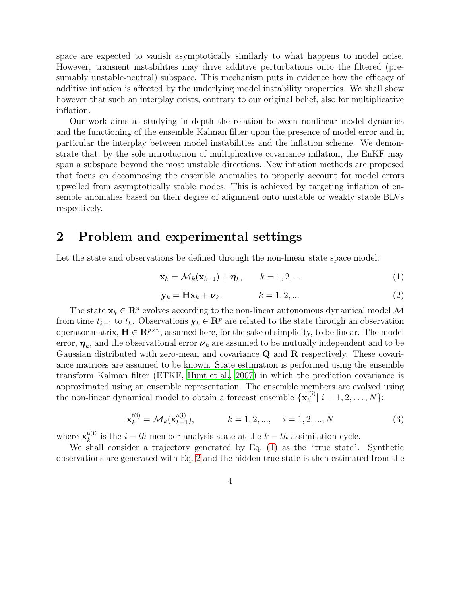space are expected to vanish asymptotically similarly to what happens to model noise. However, transient instabilities may drive additive perturbations onto the filtered (presumably unstable-neutral) subspace. This mechanism puts in evidence how the efficacy of additive inflation is affected by the underlying model instability properties. We shall show however that such an interplay exists, contrary to our original belief, also for multiplicative inflation.

Our work aims at studying in depth the relation between nonlinear model dynamics and the functioning of the ensemble Kalman filter upon the presence of model error and in particular the interplay between model instabilities and the inflation scheme. We demonstrate that, by the sole introduction of multiplicative covariance inflation, the EnKF may span a subspace beyond the most unstable directions. New inflation methods are proposed that focus on decomposing the ensemble anomalies to properly account for model errors upwelled from asymptotically stable modes. This is achieved by targeting inflation of ensemble anomalies based on their degree of alignment onto unstable or weakly stable BLVs respectively.

### 2 Problem and experimental settings

Let the state and observations be defined through the non-linear state space model:

<span id="page-3-0"></span>
$$
\mathbf{x}_k = \mathcal{M}_k(\mathbf{x}_{k-1}) + \boldsymbol{\eta}_k, \qquad k = 1, 2, \dots \tag{1}
$$

<span id="page-3-1"></span>
$$
\mathbf{y}_k = \mathbf{H}\mathbf{x}_k + \boldsymbol{\nu}_k. \qquad k = 1, 2, \dots \tag{2}
$$

The state  $\mathbf{x}_k \in \mathbb{R}^n$  evolves according to the non-linear autonomous dynamical model M from time  $t_{k-1}$  to  $t_k$ . Observations  $y_k \in \mathbb{R}^p$  are related to the state through an observation operator matrix,  $\mathbf{H} \in \mathbb{R}^{p \times n}$ , assumed here, for the sake of simplicity, to be linear. The model error,  $\boldsymbol{\eta}_k$ , and the observational error  $\boldsymbol{\nu}_k$  are assumed to be mutually independent and to be Gaussian distributed with zero-mean and covariance Q and R respectively. These covariance matrices are assumed to be known. State estimation is performed using the ensemble transform Kalman filter (ETKF, [Hunt et al., 2007](#page-23-6)) in which the prediction covariance is approximated using an ensemble representation. The ensemble members are evolved using the non-linear dynamical model to obtain a forecast ensemble  $\mathbf{x}_{k}^{f(i)}$  $\left| \binom{I(1)}{k} \right| i = 1, 2, \ldots, N$ :

<span id="page-3-2"></span>
$$
\mathbf{x}_{k}^{\text{f(i)}} = \mathcal{M}_{k}(\mathbf{x}_{k-1}^{\text{a(i)}}), \qquad k = 1, 2, ..., \qquad i = 1, 2, ..., N
$$
 (3)

where  $\mathbf{x}_k^{a(i)}$  $k_k^{a(i)}$  is the  $i-th$  member analysis state at the  $k-th$  assimilation cycle.

We shall consider a trajectory generated by Eq. [\(1\)](#page-3-0) as the "true state". Synthetic observations are generated with Eq. [2](#page-3-1) and the hidden true state is then estimated from the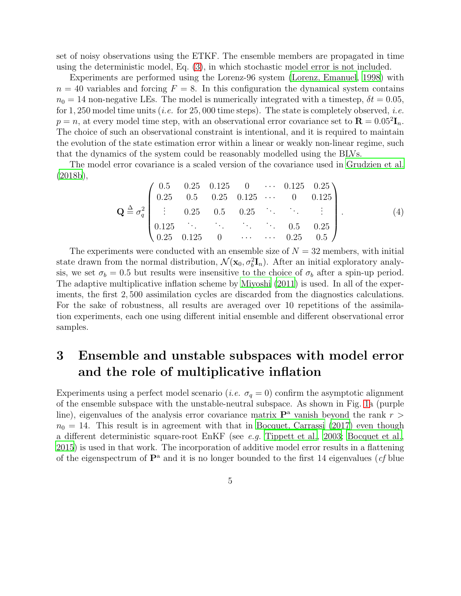set of noisy observations using the ETKF. The ensemble members are propagated in time using the deterministic model, Eq. [\(3\)](#page-3-2), in which stochastic model error is not included.

Experiments are performed using the Lorenz-96 system [\(Lorenz, Emanuel](#page-24-7), [1998](#page-24-7)) with  $n = 40$  variables and forcing  $F = 8$ . In this configuration the dynamical system contains  $n_0 = 14$  non-negative LEs. The model is numerically integrated with a timestep,  $\delta t = 0.05$ , for 1, 250 model time units (*i.e.* for 25,000 time steps). The state is completely observed, *i.e.*  $p = n$ , at every model time step, with an observational error covariance set to  $\mathbf{R} = 0.05^2 \mathbf{I}_n$ . The choice of such an observational constraint is intentional, and it is required to maintain the evolution of the state estimation error within a linear or weakly non-linear regime, such that the dynamics of the system could be reasonably modelled using the BLVs.

The model error covariance is a scaled version of the covariance used in [Grudzien et al.](#page-23-2) [\(2018b](#page-23-2)),

<span id="page-4-0"></span>
$$
\mathbf{Q} \triangleq \sigma_q^2 \begin{pmatrix} 0.5 & 0.25 & 0.125 & 0 & \cdots & 0.125 & 0.25 \\ 0.25 & 0.5 & 0.25 & 0.125 & \cdots & 0 & 0.125 \\ \vdots & 0.25 & 0.5 & 0.25 & \ddots & \ddots & \vdots \\ 0.125 & \ddots & \ddots & \ddots & 0.5 & 0.25 \\ 0.25 & 0.125 & 0 & \cdots & \cdots & 0.25 & 0.5 \end{pmatrix} . \tag{4}
$$

The experiments were conducted with an ensemble size of  $N = 32$  members, with initial state drawn from the normal distribution,  $\mathcal{N}(\mathbf{x}_0, \sigma_b^2 \mathbf{I}_n)$ . After an initial exploratory analysis, we set  $\sigma_b = 0.5$  but results were insensitive to the choice of  $\sigma_b$  after a spin-up period. The adaptive multiplicative inflation scheme by [Miyoshi \(2011\)](#page-24-4) is used. In all of the experiments, the first 2, 500 assimilation cycles are discarded from the diagnostics calculations. For the sake of robustness, all results are averaged over 10 repetitions of the assimilation experiments, each one using different initial ensemble and different observational error samples.

## <span id="page-4-1"></span>3 Ensemble and unstable subspaces with model error and the role of multiplicative inflation

Experiments using a perfect model scenario (*i.e.*  $\sigma_q = 0$ ) confirm the asymptotic alignment of the ensemble subspace with the unstable-neutral subspace. As shown in Fig. [1a](#page-5-0) (purple line), eigenvalues of the analysis error covariance matrix  $\mathbf{P}^{\text{a}}$  vanish beyond the rank  $r >$  $n_0 = 14$ . This result is in agreement with that in [Bocquet, Carrassi \(2017\)](#page-22-1) even though a different deterministic square-root EnKF (see e.g. [Tippett et al.](#page-24-8), [2003](#page-24-8); [Bocquet et al.,](#page-22-5) [2015](#page-22-5)) is used in that work. The incorporation of additive model error results in a flattening of the eigenspectrum of  $\mathbf{P}^{\text{a}}$  and it is no longer bounded to the first 14 eigenvalues (*cf* blue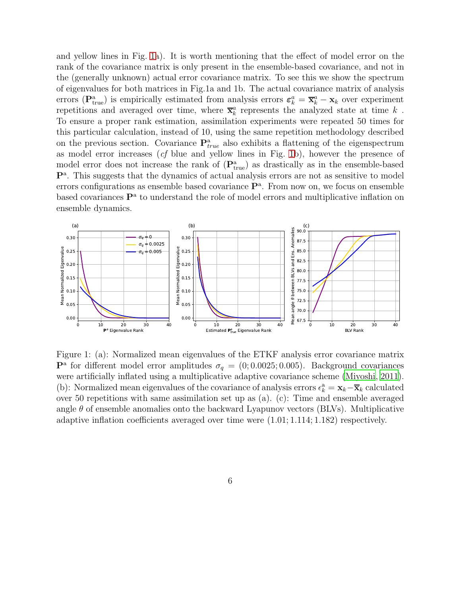and yellow lines in Fig. [1a](#page-5-0)). It is worth mentioning that the effect of model error on the rank of the covariance matrix is only present in the ensemble-based covariance, and not in the (generally unknown) actual error covariance matrix. To see this we show the spectrum of eigenvalues for both matrices in Fig.1a and 1b. The actual covariance matrix of analysis errors ( $\mathbf{P}_{\text{true}}^{\text{a}}$ ) is empirically estimated from analysis errors  $\boldsymbol{\varepsilon}_k^a = \overline{\mathbf{x}}_k^a - \mathbf{x}_k$  over experiment repetitions and averaged over time, where  $\overline{\mathbf{x}}_k^a$  represents the analyzed state at time  $k$ . To ensure a proper rank estimation, assimilation experiments were repeated 50 times for this particular calculation, instead of 10, using the same repetition methodology described on the previous section. Covariance  $\mathbf{P}_{true}^{\text{a}}$  also exhibits a flattening of the eigenspectrum as model error increases (cf blue and yellow lines in Fig. [1b](#page-5-0)), however the presence of model error does not increase the rank of  $(\mathbf{P}_{true}^a)$  as drastically as in the ensemble-based  $\mathbf{P}^{a}$ . This suggests that the dynamics of actual analysis errors are not as sensitive to model errors configurations as ensemble based covariance  $\mathbf{P}^{\text{a}}$ . From now on, we focus on ensemble based covariances  $\mathbf{P}^{\text{a}}$  to understand the role of model errors and multiplicative inflation on ensemble dynamics.



<span id="page-5-0"></span>Figure 1: (a): Normalized mean eigenvalues of the ETKF analysis error covariance matrix  $\mathbf{P}^{\text{a}}$  for different model error amplitudes  $\sigma_q = (0, 0.0025, 0.005)$ . Background covariances were artificially inflated using a multiplicative adaptive covariance scheme [\(Miyoshi, 2011](#page-24-4)). (b): Normalized mean eigenvalues of the covariance of analysis errors  $\epsilon_k^a = \mathbf{x}_k - \overline{\mathbf{x}}_k$  calculated over 50 repetitions with same assimilation set up as (a). (c): Time and ensemble averaged angle  $\theta$  of ensemble anomalies onto the backward Lyapunov vectors (BLVs). Multiplicative adaptive inflation coefficients averaged over time were (1.01; 1.114; 1.182) respectively.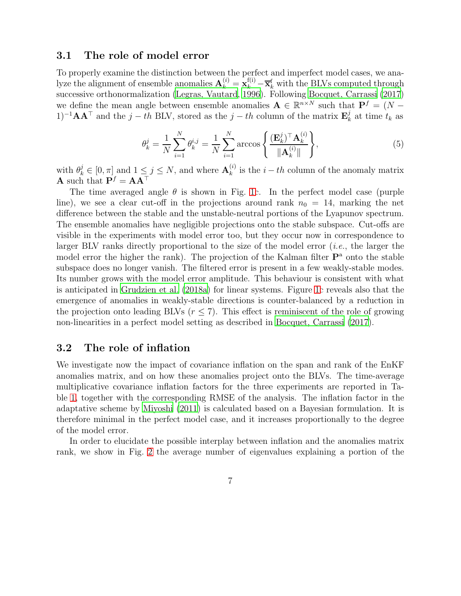#### 3.1 The role of model error

To properly examine the distinction between the perfect and imperfect model cases, we analyze the alignment of ensemble anomalies  $\mathbf{A}_k^{(i)} = \mathbf{x}_k^{f(i)} - \overline{\mathbf{x}}_k^f$  with the BLVs computed through successive orthonormalization [\(Legras, Vautard, 1996\)](#page-23-7). Following [Bocquet, Carrassi \(2017](#page-22-1)) we define the mean angle between ensemble anomalies  $\mathbf{A} \in \mathbb{R}^{n \times N}$  such that  $\mathbf{P}^f = (N - \mathbf{A})^T$ 1)<sup>-1</sup>**AA**<sup>⊤</sup> and the  $j - th$  BLV, stored as the  $j - th$  column of the matrix  $\mathbf{E}_{k}^{j}$  $\frac{J}{k}$  at time  $t_k$  as

$$
\theta_k^j = \frac{1}{N} \sum_{i=1}^N \theta_k^{i,j} = \frac{1}{N} \sum_{i=1}^N \arccos\left\{ \frac{(\mathbf{E}_k^j)^\top \mathbf{A}_k^{(i)}}{\|\mathbf{A}_k^{(i)}\|} \right\},\tag{5}
$$

with  $\theta_k^j \in [0, \pi]$  and  $1 \leq j \leq N$ , and where  $\mathbf{A}_k^{(i)}$  $\binom{v_i}{k}$  is the  $i-th$  column of the anomaly matrix **A** such that  $\mathbf{P}^f = \mathbf{A}\mathbf{A}^\top$ 

The time averaged angle  $\theta$  is shown in Fig. [1c](#page-5-0). In the perfect model case (purple line), we see a clear cut-off in the projections around rank  $n_0 = 14$ , marking the net difference between the stable and the unstable-neutral portions of the Lyapunov spectrum. The ensemble anomalies have negligible projections onto the stable subspace. Cut-offs are visible in the experiments with model error too, but they occur now in correspondence to larger BLV ranks directly proportional to the size of the model error (i.e., the larger the model error the higher the rank). The projection of the Kalman filter  $\mathbf{P}^{\text{a}}$  onto the stable subspace does no longer vanish. The filtered error is present in a few weakly-stable modes. Its number grows with the model error amplitude. This behaviour is consistent with what is anticipated in [Grudzien et al. \(2018a](#page-23-1)) for linear systems. Figure [1c](#page-5-0) reveals also that the emergence of anomalies in weakly-stable directions is counter-balanced by a reduction in the projection onto leading BLVs  $(r \leq 7)$ . This effect is reminiscent of the role of growing non-linearities in a perfect model setting as described in [Bocquet, Carrassi \(2017](#page-22-1)).

### 3.2 The role of inflation

We investigate now the impact of covariance inflation on the span and rank of the EnKF anomalies matrix, and on how these anomalies project onto the BLVs. The time-average multiplicative covariance inflation factors for the three experiments are reported in Table [1,](#page-7-0) together with the corresponding RMSE of the analysis. The inflation factor in the adaptative scheme by [Miyoshi \(2011](#page-24-4)) is calculated based on a Bayesian formulation. It is therefore minimal in the perfect model case, and it increases proportionally to the degree of the model error.

In order to elucidate the possible interplay between inflation and the anomalies matrix rank, we show in Fig. [2](#page-7-1) the average number of eigenvalues explaining a portion of the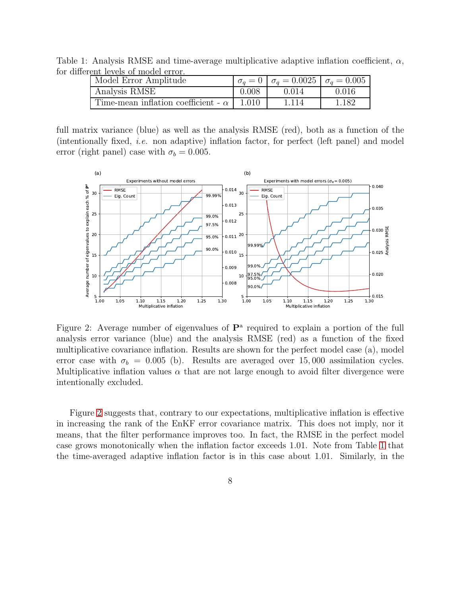Table 1: Analysis RMSE and time-average multiplicative adaptive inflation coefficient,  $\alpha$ , for different levels of model error.

<span id="page-7-0"></span>

| Model Error Amplitude                      |       | $\sigma_a = 0$   $\sigma_a = 0.0025$   $\sigma_a = 0.005$ |       |
|--------------------------------------------|-------|-----------------------------------------------------------|-------|
| Analysis RMSE                              | 0.008 | 0.014                                                     | 0.016 |
| Time-mean inflation coefficient - $\alpha$ | 1.010 | 1.114                                                     | 1.182 |

full matrix variance (blue) as well as the analysis RMSE (red), both as a function of the (intentionally fixed, i.e. non adaptive) inflation factor, for perfect (left panel) and model error (right panel) case with  $\sigma_b = 0.005$ .



<span id="page-7-1"></span>Figure 2: Average number of eigenvalues of  $\mathbf{P}^{\text{a}}$  required to explain a portion of the full analysis error variance (blue) and the analysis RMSE (red) as a function of the fixed multiplicative covariance inflation. Results are shown for the perfect model case (a), model error case with  $\sigma_b = 0.005$  (b). Results are averaged over 15,000 assimilation cycles. Multiplicative inflation values  $\alpha$  that are not large enough to avoid filter divergence were intentionally excluded.

Figure [2](#page-7-1) suggests that, contrary to our expectations, multiplicative inflation is effective in increasing the rank of the EnKF error covariance matrix. This does not imply, nor it means, that the filter performance improves too. In fact, the RMSE in the perfect model case grows monotonically when the inflation factor exceeds 1.01. Note from Table [1](#page-7-0) that the time-averaged adaptive inflation factor is in this case about 1.01. Similarly, in the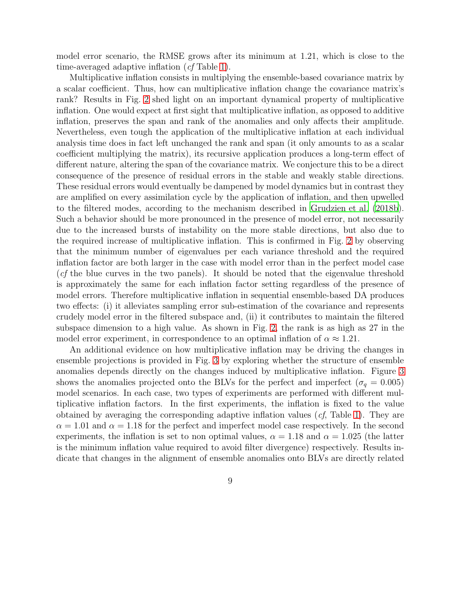model error scenario, the RMSE grows after its minimum at 1.21, which is close to the time-averaged adaptive inflation (cf Table [1\)](#page-7-0).

Multiplicative inflation consists in multiplying the ensemble-based covariance matrix by a scalar coefficient. Thus, how can multiplicative inflation change the covariance matrix's rank? Results in Fig. [2](#page-7-1) shed light on an important dynamical property of multiplicative inflation. One would expect at first sight that multiplicative inflation, as opposed to additive inflation, preserves the span and rank of the anomalies and only affects their amplitude. Nevertheless, even tough the application of the multiplicative inflation at each individual analysis time does in fact left unchanged the rank and span (it only amounts to as a scalar coefficient multiplying the matrix), its recursive application produces a long-term effect of different nature, altering the span of the covariance matrix. We conjecture this to be a direct consequence of the presence of residual errors in the stable and weakly stable directions. These residual errors would eventually be dampened by model dynamics but in contrast they are amplified on every assimilation cycle by the application of inflation, and then upwelled to the filtered modes, according to the mechanism described in [Grudzien et al. \(2018b](#page-23-2)). Such a behavior should be more pronounced in the presence of model error, not necessarily due to the increased bursts of instability on the more stable directions, but also due to the required increase of multiplicative inflation. This is confirmed in Fig. [2](#page-7-1) by observing that the minimum number of eigenvalues per each variance threshold and the required inflation factor are both larger in the case with model error than in the perfect model case (cf the blue curves in the two panels). It should be noted that the eigenvalue threshold is approximately the same for each inflation factor setting regardless of the presence of model errors. Therefore multiplicative inflation in sequential ensemble-based DA produces two effects: (i) it alleviates sampling error sub-estimation of the covariance and represents crudely model error in the filtered subspace and, (ii) it contributes to maintain the filtered subspace dimension to a high value. As shown in Fig. [2,](#page-7-1) the rank is as high as 27 in the model error experiment, in correspondence to an optimal inflation of  $\alpha \approx 1.21$ .

An additional evidence on how multiplicative inflation may be driving the changes in ensemble projections is provided in Fig. [3](#page-9-0) by exploring whether the structure of ensemble anomalies depends directly on the changes induced by multiplicative inflation. Figure [3](#page-9-0) shows the anomalies projected onto the BLVs for the perfect and imperfect ( $\sigma_q = 0.005$ ) model scenarios. In each case, two types of experiments are performed with different multiplicative inflation factors. In the first experiments, the inflation is fixed to the value obtained by averaging the corresponding adaptive inflation values  $(cf, Table 1)$  $(cf, Table 1)$ . They are  $\alpha = 1.01$  and  $\alpha = 1.18$  for the perfect and imperfect model case respectively. In the second experiments, the inflation is set to non optimal values,  $\alpha = 1.18$  and  $\alpha = 1.025$  (the latter is the minimum inflation value required to avoid filter divergence) respectively. Results indicate that changes in the alignment of ensemble anomalies onto BLVs are directly related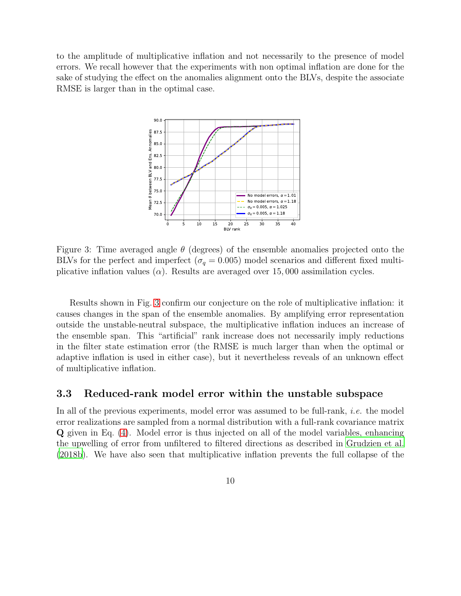to the amplitude of multiplicative inflation and not necessarily to the presence of model errors. We recall however that the experiments with non optimal inflation are done for the sake of studying the effect on the anomalies alignment onto the BLVs, despite the associate RMSE is larger than in the optimal case.



<span id="page-9-0"></span>Figure 3: Time averaged angle  $\theta$  (degrees) of the ensemble anomalies projected onto the BLVs for the perfect and imperfect ( $\sigma_q = 0.005$ ) model scenarios and different fixed multiplicative inflation values ( $\alpha$ ). Results are averaged over 15,000 assimilation cycles.

Results shown in Fig. [3](#page-9-0) confirm our conjecture on the role of multiplicative inflation: it causes changes in the span of the ensemble anomalies. By amplifying error representation outside the unstable-neutral subspace, the multiplicative inflation induces an increase of the ensemble span. This "artificial" rank increase does not necessarily imply reductions in the filter state estimation error (the RMSE is much larger than when the optimal or adaptive inflation is used in either case), but it nevertheless reveals of an unknown effect of multiplicative inflation.

#### 3.3 Reduced-rank model error within the unstable subspace

In all of the previous experiments, model error was assumed to be full-rank, *i.e.* the model error realizations are sampled from a normal distribution with a full-rank covariance matrix Q given in Eq. [\(4\)](#page-4-0). Model error is thus injected on all of the model variables, enhancing the upwelling of error from unfiltered to filtered directions as described in [Grudzien et al.](#page-23-2) [\(2018b](#page-23-2)). We have also seen that multiplicative inflation prevents the full collapse of the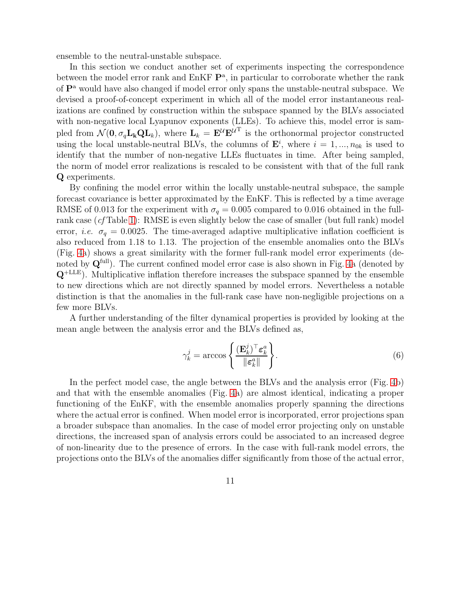ensemble to the neutral-unstable subspace.

In this section we conduct another set of experiments inspecting the correspondence between the model error rank and  $EnKF P^a$ , in particular to corroborate whether the rank of P<sup>a</sup> would have also changed if model error only spans the unstable-neutral subspace. We devised a proof-of-concept experiment in which all of the model error instantaneous realizations are confined by construction within the subspace spanned by the BLVs associated with non-negative local Lyapunov exponents (LLEs). To achieve this, model error is sampled from  $\mathcal{N}(\mathbf{0}, \sigma_q \mathbf{L}_k \mathbf{Q} \mathbf{L}_k)$ , where  $\mathbf{L}_k = \mathbf{E}^{\mathcal{U}} \mathbf{E}^{\mathcal{U}^T}$  is the orthonormal projector constructed using the local unstable-neutral BLVs, the columns of  $\mathbf{E}^i$ , where  $i = 1, ..., n_{0k}$  is used to identify that the number of non-negative LLEs fluctuates in time. After being sampled, the norm of model error realizations is rescaled to be consistent with that of the full rank Q experiments.

By confining the model error within the locally unstable-neutral subspace, the sample forecast covariance is better approximated by the EnKF. This is reflected by a time average RMSE of 0.013 for the experiment with  $\sigma_q = 0.005$  compared to 0.016 obtained in the full-rank case (cf Table [1\)](#page-7-0): RMSE is even slightly below the case of smaller (but full rank) model error, *i.e.*  $\sigma_q = 0.0025$ . The time-averaged adaptive multiplicative inflation coefficient is also reduced from 1.18 to 1.13. The projection of the ensemble anomalies onto the BLVs (Fig. [4a](#page-11-0)) shows a great similarity with the former full-rank model error experiments (denoted by  $\mathbf{Q}^{\text{full}}$ ). The current confined model error case is also shown in Fig. [4a](#page-11-0) (denoted by  $Q^{+LLE}$ ). Multiplicative inflation therefore increases the subspace spanned by the ensemble to new directions which are not directly spanned by model errors. Nevertheless a notable distinction is that the anomalies in the full-rank case have non-negligible projections on a few more BLVs.

A further understanding of the filter dynamical properties is provided by looking at the mean angle between the analysis error and the BLVs defined as,

$$
\gamma_k^j = \arccos\left\{ \frac{(\mathbf{E}_k^j)^\top \boldsymbol{\varepsilon}_k^a}{\|\boldsymbol{\varepsilon}_k^a\|} \right\}.
$$
\n(6)

In the perfect model case, the angle between the BLVs and the analysis error (Fig. [4b](#page-11-0)) and that with the ensemble anomalies (Fig. [4a](#page-11-0)) are almost identical, indicating a proper functioning of the EnKF, with the ensemble anomalies properly spanning the directions where the actual error is confined. When model error is incorporated, error projections span a broader subspace than anomalies. In the case of model error projecting only on unstable directions, the increased span of analysis errors could be associated to an increased degree of non-linearity due to the presence of errors. In the case with full-rank model errors, the projections onto the BLVs of the anomalies differ significantly from those of the actual error,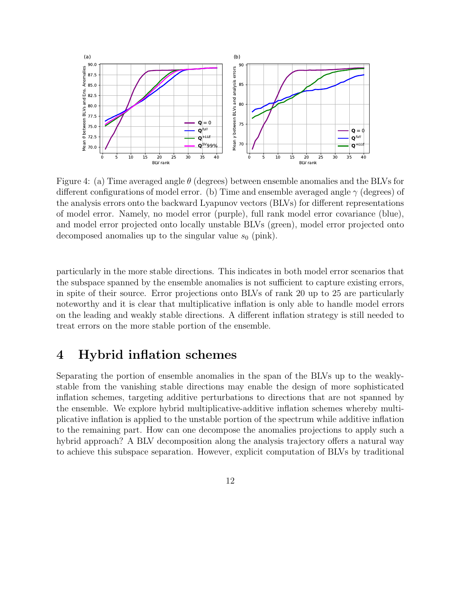

<span id="page-11-0"></span>Figure 4: (a) Time averaged angle  $\theta$  (degrees) between ensemble anomalies and the BLVs for different configurations of model error. (b) Time and ensemble averaged angle  $\gamma$  (degrees) of the analysis errors onto the backward Lyapunov vectors (BLVs) for different representations of model error. Namely, no model error (purple), full rank model error covariance (blue), and model error projected onto locally unstable BLVs (green), model error projected onto decomposed anomalies up to the singular value  $s_0$  (pink).

particularly in the more stable directions. This indicates in both model error scenarios that the subspace spanned by the ensemble anomalies is not sufficient to capture existing errors, in spite of their source. Error projections onto BLVs of rank 20 up to 25 are particularly noteworthy and it is clear that multiplicative inflation is only able to handle model errors on the leading and weakly stable directions. A different inflation strategy is still needed to treat errors on the more stable portion of the ensemble.

### 4 Hybrid inflation schemes

Separating the portion of ensemble anomalies in the span of the BLVs up to the weaklystable from the vanishing stable directions may enable the design of more sophisticated inflation schemes, targeting additive perturbations to directions that are not spanned by the ensemble. We explore hybrid multiplicative-additive inflation schemes whereby multiplicative inflation is applied to the unstable portion of the spectrum while additive inflation to the remaining part. How can one decompose the anomalies projections to apply such a hybrid approach? A BLV decomposition along the analysis trajectory offers a natural way to achieve this subspace separation. However, explicit computation of BLVs by traditional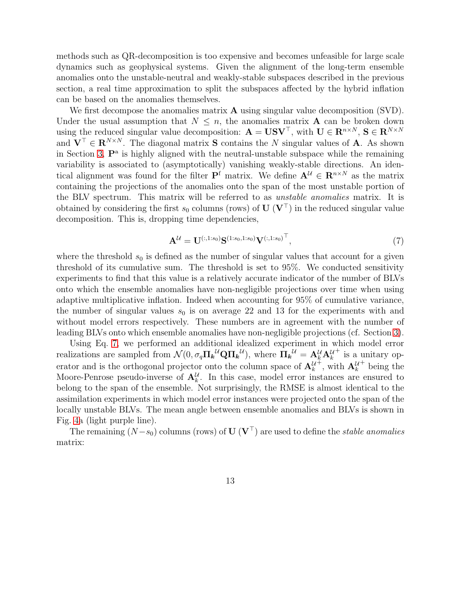methods such as QR-decomposition is too expensive and becomes unfeasible for large scale dynamics such as geophysical systems. Given the alignment of the long-term ensemble anomalies onto the unstable-neutral and weakly-stable subspaces described in the previous section, a real time approximation to split the subspaces affected by the hybrid inflation can be based on the anomalies themselves.

We first decompose the anomalies matrix **A** using singular value decomposition (SVD). Under the usual assumption that  $N \leq n$ , the anomalies matrix **A** can be broken down using the reduced singular value decomposition:  $\mathbf{A} = \mathbf{U}\mathbf{S}\mathbf{V}^{\top}$ , with  $\mathbf{U} \in \mathbf{R}^{n \times N}$ ,  $\mathbf{S} \in \mathbf{R}^{N \times N}$ and  $\mathbf{V}^{\top} \in \mathbb{R}^{N \times N}$ . The diagonal matrix **S** contains the N singular values of **A**. As shown in Section [3,](#page-4-1)  $\mathbf{P}^{\text{a}}$  is highly aligned with the neutral-unstable subspace while the remaining variability is associated to (asymptotically) vanishing weakly-stable directions. An identical alignment was found for the filter  $P^f$  matrix. We define  $A^{\mathcal{U}} \in \mathbb{R}^{n \times N}$  as the matrix containing the projections of the anomalies onto the span of the most unstable portion of the BLV spectrum. This matrix will be referred to as unstable anomalies matrix. It is obtained by considering the first  $s_0$  columns (rows) of U (V<sup>⊤</sup>) in the reduced singular value decomposition. This is, dropping time dependencies,

<span id="page-12-0"></span>
$$
\mathbf{A}^{\mathcal{U}} = \mathbf{U}^{(:,1:s_0)} \mathbf{S}^{(1:s_0,1:s_0)} \mathbf{V}^{(:,1:s_0)}^{\top},\tag{7}
$$

where the threshold  $s_0$  is defined as the number of singular values that account for a given threshold of its cumulative sum. The threshold is set to 95%. We conducted sensitivity experiments to find that this value is a relatively accurate indicator of the number of BLVs onto which the ensemble anomalies have non-negligible projections over time when using adaptive multiplicative inflation. Indeed when accounting for 95% of cumulative variance, the number of singular values  $s_0$  is on average 22 and 13 for the experiments with and without model errors respectively. These numbers are in agreement with the number of leading BLVs onto which ensemble anomalies have non-negligible projections (cf. Section [3\)](#page-4-1).

Using Eq. [7,](#page-12-0) we performed an additional idealized experiment in which model error realizations are sampled from  $\mathcal{N}(0, \sigma_q \Pi_k^U \mathbf{Q} \Pi_k^U)$ , where  $\Pi_k^U = \mathbf{A}_k^U \mathbf{A}_k^U$ + is a unitary operator and is the orthogonal projector onto the column space of  $\mathbf{A}^{\mathcal{U}}_k$  $\ddot{+}$ , with  $\mathbf{A}_{k}^{\mathcal{U}}$ + being the Moore-Penrose pseudo-inverse of  $A_k^{\mathcal{U}}$ . In this case, model error instances are ensured to belong to the span of the ensemble. Not surprisingly, the RMSE is almost identical to the assimilation experiments in which model error instances were projected onto the span of the locally unstable BLVs. The mean angle between ensemble anomalies and BLVs is shown in Fig. [4a](#page-11-0) (light purple line).

The remaining  $(N-s_0)$  columns (rows) of  $\mathbf{U}$  ( $\mathbf{V}^{\top}$ ) are used to define the *stable anomalies* matrix: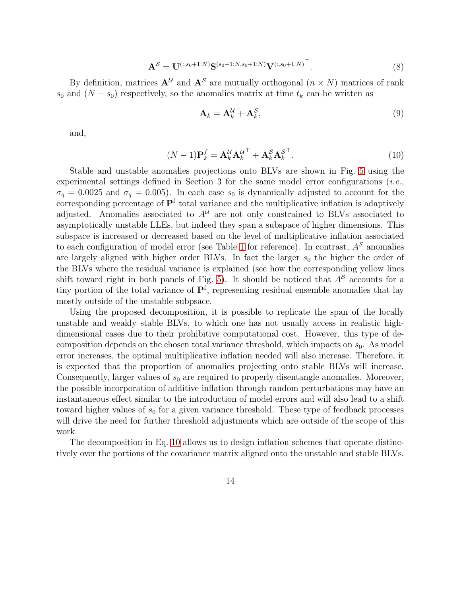$$
\mathbf{A}^{\mathcal{S}} = \mathbf{U}^{(:,s_0+1:N)} \mathbf{S}^{(s_0+1:N,s_0+1:N)} \mathbf{V}^{(:,s_0+1:N)^\top}.
$$
 (8)

By definition, matrices  $A^U$  and  $A^S$  are mutually orthogonal  $(n \times N)$  matrices of rank  $s_0$  and  $(N - s_0)$  respectively, so the anomalies matrix at time  $t_k$  can be written as

$$
\mathbf{A}_k = \mathbf{A}_k^{\mathcal{U}} + \mathbf{A}_k^{\mathcal{S}},\tag{9}
$$

and,

<span id="page-13-0"></span>
$$
(N-1)\mathbf{P}_k^f = \mathbf{A}_k^{\mathcal{U}} \mathbf{A}_k^{\mathcal{U}^\top} + \mathbf{A}_k^{\mathcal{S}} \mathbf{A}_k^{\mathcal{S}^\top}.
$$
\n(10)

Stable and unstable anomalies projections onto BLVs are shown in Fig. [5](#page-14-0) using the experimental settings defined in Section 3 for the same model error configurations  $(i.e.,$  $\sigma_q = 0.0025$  and  $\sigma_q = 0.005$ ). In each case  $s_0$  is dynamically adjusted to account for the corresponding percentage of  $\mathbf{P}^{\text{f}}$  total variance and the multiplicative inflation is adaptively adjusted. Anomalies associated to  $A^{\mathcal{U}}$  are not only constrained to BLVs associated to asymptotically unstable LLEs, but indeed they span a subspace of higher dimensions. This subspace is increased or decreased based on the level of multiplicative inflation associated to each configuration of model error (see Table [1](#page-7-0) for reference). In contrast,  $A^{\mathcal{S}}$  anomalies are largely aligned with higher order BLVs. In fact the larger  $s_0$  the higher the order of the BLVs where the residual variance is explained (see how the corresponding yellow lines shift toward right in both panels of Fig. [5\)](#page-14-0). It should be noticed that  $A^{\mathcal{S}}$  accounts for a tiny portion of the total variance of  $\mathbf{P}^{\text{f}}$ , representing residual ensemble anomalies that lay mostly outside of the unstable subpsace.

Using the proposed decomposition, it is possible to replicate the span of the locally unstable and weakly stable BLVs, to which one has not usually access in realistic highdimensional cases due to their prohibitive computational cost. However, this type of decomposition depends on the chosen total variance threshold, which impacts on  $s<sub>0</sub>$ . As model error increases, the optimal multiplicative inflation needed will also increase. Therefore, it is expected that the proportion of anomalies projecting onto stable BLVs will increase. Consequently, larger values of  $s_0$  are required to properly disentangle anomalies. Moreover, the possible incorporation of additive inflation through random perturbations may have an instantaneous effect similar to the introduction of model errors and will also lead to a shift toward higher values of  $s_0$  for a given variance threshold. These type of feedback processes will drive the need for further threshold adjustments which are outside of the scope of this work.

The decomposition in Eq. [10](#page-13-0) allows us to design inflation schemes that operate distinctively over the portions of the covariance matrix aligned onto the unstable and stable BLVs.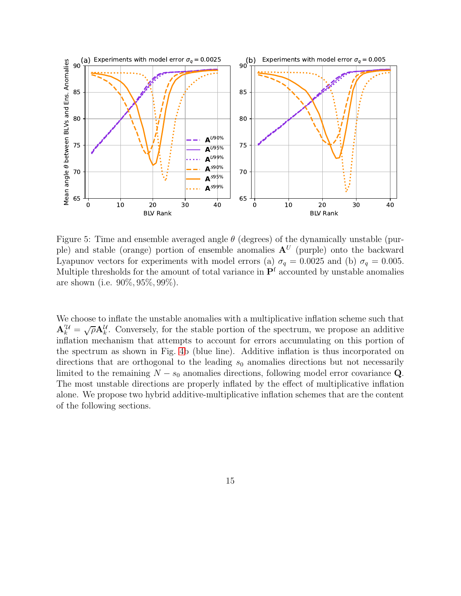

<span id="page-14-0"></span>Figure 5: Time and ensemble averaged angle  $\theta$  (degrees) of the dynamically unstable (purple) and stable (orange) portion of ensemble anomalies  $A<sup>U</sup>$  (purple) onto the backward Lyapunov vectors for experiments with model errors (a)  $\sigma_q = 0.0025$  and (b)  $\sigma_q = 0.005$ . Multiple thresholds for the amount of total variance in  $\mathbf{P}^{\text{f}}$  accounted by unstable anomalies are shown (i.e. 90%, 95%, 99%).

We choose to inflate the unstable anomalies with a multiplicative inflation scheme such that  $\mathbf{A}_{k}^{\prime\prime} = \sqrt{\rho} \mathbf{A}_{k}^{\prime\prime}$ . Conversely, for the stable portion of the spectrum, we propose an additive inflation mechanism that attempts to account for errors accumulating on this portion of the spectrum as shown in Fig. [4b](#page-11-0) (blue line). Additive inflation is thus incorporated on directions that are orthogonal to the leading  $s_0$  anomalies directions but not necessarily limited to the remaining  $N - s_0$  anomalies directions, following model error covariance Q. The most unstable directions are properly inflated by the effect of multiplicative inflation alone. We propose two hybrid additive-multiplicative inflation schemes that are the content of the following sections.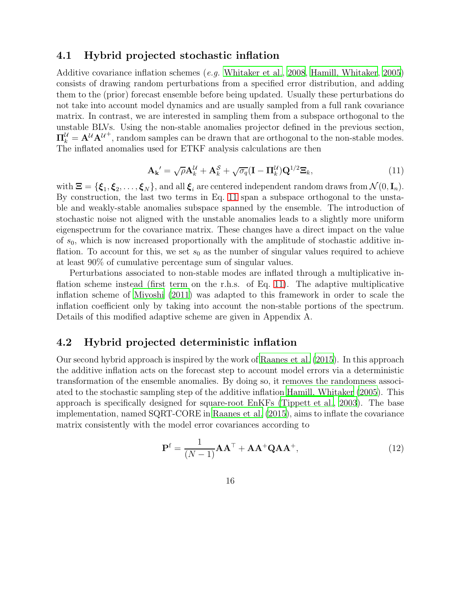### 4.1 Hybrid projected stochastic inflation

Additive covariance inflation schemes (e.g. [Whitaker et al.](#page-24-9), [2008,](#page-24-9) [Hamill, Whitaker, 2005](#page-23-3)) consists of drawing random perturbations from a specified error distribution, and adding them to the (prior) forecast ensemble before being updated. Usually these perturbations do not take into account model dynamics and are usually sampled from a full rank covariance matrix. In contrast, we are interested in sampling them from a subspace orthogonal to the unstable BLVs. Using the non-stable anomalies projector defined in the previous section,  $\Pi_k^{\mathcal{U}} = \mathbf{A}^{\mathcal{U}} \mathbf{A}^{\mathcal{U}^+}$ , random samples can be drawn that are orthogonal to the non-stable modes. The inflated anomalies used for ETKF analysis calculations are then

<span id="page-15-0"></span>
$$
\mathbf{A_k}' = \sqrt{\rho} \mathbf{A}_k^{\mathcal{U}} + \mathbf{A}_k^{\mathcal{S}} + \sqrt{\sigma_q} (\mathbf{I} - \mathbf{\Pi}_k^{\mathcal{U}}) \mathbf{Q}^{1/2} \mathbf{\Xi}_k, \tag{11}
$$

with  $\Xi = {\xi_1, \xi_2, \ldots, \xi_N}$ , and all  $\xi_i$  are centered independent random draws from  $\mathcal{N}(0, \mathbf{I}_n)$ . By construction, the last two terms in Eq. [11](#page-15-0) span a subspace orthogonal to the unstable and weakly-stable anomalies subspace spanned by the ensemble. The introduction of stochastic noise not aligned with the unstable anomalies leads to a slightly more uniform eigenspectrum for the covariance matrix. These changes have a direct impact on the value of  $s_0$ , which is now increased proportionally with the amplitude of stochastic additive inflation. To account for this, we set  $s_0$  as the number of singular values required to achieve at least 90% of cumulative percentage sum of singular values.

Perturbations associated to non-stable modes are inflated through a multiplicative inflation scheme instead (first term on the r.h.s. of Eq. [11\)](#page-15-0). The adaptive multiplicative inflation scheme of [Miyoshi \(2011](#page-24-4)) was adapted to this framework in order to scale the inflation coefficient only by taking into account the non-stable portions of the spectrum. Details of this modified adaptive scheme are given in Appendix A.

### 4.2 Hybrid projected deterministic inflation

Our second hybrid approach is inspired by the work of [Raanes et al. \(2015\)](#page-24-10). In this approach the additive inflation acts on the forecast step to account model errors via a deterministic transformation of the ensemble anomalies. By doing so, it removes the randomness associated to the stochastic sampling step of the additive inflation [Hamill, Whitaker \(2005](#page-23-3)). This approach is specifically designed for square-root EnKFs [\(Tippett et al., 2003](#page-24-8)). The base implementation, named SQRT-CORE in [Raanes et al. \(2015](#page-24-10)), aims to inflate the covariance matrix consistently with the model error covariances according to

<span id="page-15-1"></span>
$$
\mathbf{P}^{\mathrm{f}} = \frac{1}{(N-1)} \mathbf{A} \mathbf{A}^{\mathrm{T}} + \mathbf{A} \mathbf{A}^+ \mathbf{Q} \mathbf{A} \mathbf{A}^+, \tag{12}
$$

16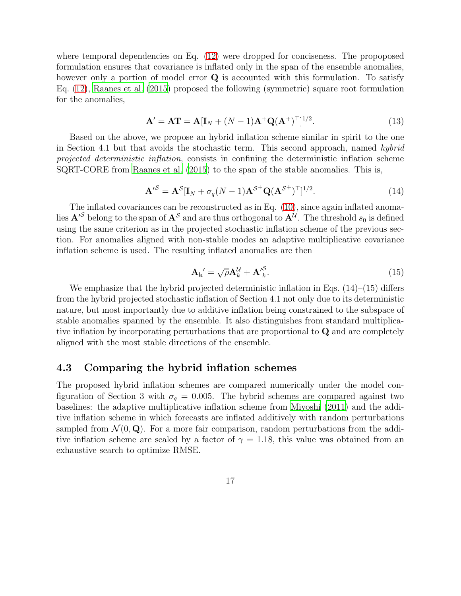where temporal dependencies on Eq.  $(12)$  were dropped for conciseness. The propoposed formulation ensures that covariance is inflated only in the span of the ensemble anomalies, however only a portion of model error **Q** is accounted with this formulation. To satisfy Eq. [\(12\)](#page-15-1), [Raanes et al. \(2015](#page-24-10)) proposed the following (symmetric) square root formulation for the anomalies,

$$
\mathbf{A}' = \mathbf{A}\mathbf{T} = \mathbf{A}[\mathbf{I}_N + (N-1)\mathbf{A}^+\mathbf{Q}(\mathbf{A}^+)^{\top}]^{1/2}.
$$
 (13)

Based on the above, we propose an hybrid inflation scheme similar in spirit to the one in Section 4.1 but that avoids the stochastic term. This second approach, named hybrid projected deterministic inflation, consists in confining the deterministic inflation scheme SQRT-CORE from [Raanes et al. \(2015\)](#page-24-10) to the span of the stable anomalies. This is,

$$
\mathbf{A}'^{\mathcal{S}} = \mathbf{A}^{\mathcal{S}} [\mathbf{I}_N + \sigma_q (N-1) \mathbf{A}^{\mathcal{S}^+} \mathbf{Q} (\mathbf{A}^{\mathcal{S}^+})^\top]^{1/2}.
$$
 (14)

The inflated covariances can be reconstructed as in Eq. [\(10\)](#page-13-0), since again inflated anomalies  $\mathbf{A}'^{\mathcal{S}}$  belong to the span of  $\mathbf{A}^{\mathcal{S}}$  and are thus orthogonal to  $\mathbf{A}^{\mathcal{U}}$ . The threshold  $s_0$  is defined using the same criterion as in the projected stochastic inflation scheme of the previous section. For anomalies aligned with non-stable modes an adaptive multiplicative covariance inflation scheme is used. The resulting inflated anomalies are then

$$
\mathbf{A_k}' = \sqrt{\rho} \mathbf{A}_k^{\mathcal{U}} + \mathbf{A'}_k^{\mathcal{S}}.
$$
 (15)

We emphasize that the hybrid projected deterministic inflation in Eqs.  $(14)$ – $(15)$  differs from the hybrid projected stochastic inflation of Section 4.1 not only due to its deterministic nature, but most importantly due to additive inflation being constrained to the subspace of stable anomalies spanned by the ensemble. It also distinguishes from standard multiplicative inflation by incorporating perturbations that are proportional to Q and are completely aligned with the most stable directions of the ensemble.

### 4.3 Comparing the hybrid inflation schemes

The proposed hybrid inflation schemes are compared numerically under the model configuration of Section 3 with  $\sigma_q = 0.005$ . The hybrid schemes are compared against two baselines: the adaptive multiplicative inflation scheme from [Miyoshi \(2011\)](#page-24-4) and the additive inflation scheme in which forecasts are inflated additively with random perturbations sampled from  $\mathcal{N}(0, \mathbf{Q})$ . For a more fair comparison, random perturbations from the additive inflation scheme are scaled by a factor of  $\gamma = 1.18$ , this value was obtained from an exhaustive search to optimize RMSE.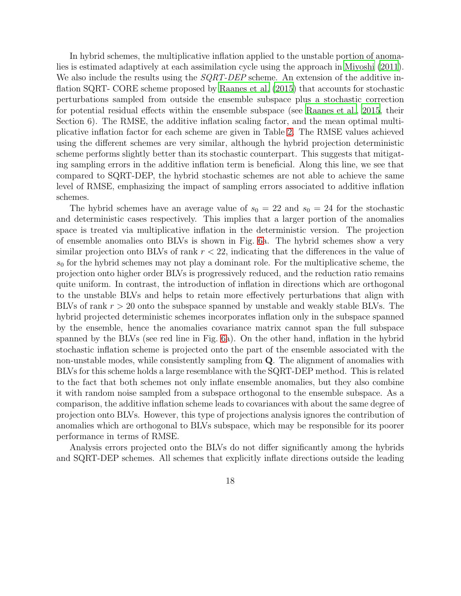In hybrid schemes, the multiplicative inflation applied to the unstable portion of anomalies is estimated adaptively at each assimilation cycle using the approach in [Miyoshi \(2011](#page-24-4)). We also include the results using the *SQRT-DEP* scheme. An extension of the additive inflation SQRT- CORE scheme proposed by [Raanes et al. \(2015\)](#page-24-10) that accounts for stochastic perturbations sampled from outside the ensemble subspace plus a stochastic correction for potential residual effects within the ensemble subspace (see [Raanes et al.](#page-24-10), [2015,](#page-24-10) their Section 6). The RMSE, the additive inflation scaling factor, and the mean optimal multiplicative inflation factor for each scheme are given in Table [2.](#page-18-0) The RMSE values achieved using the different schemes are very similar, although the hybrid projection deterministic scheme performs slightly better than its stochastic counterpart. This suggests that mitigating sampling errors in the additive inflation term is beneficial. Along this line, we see that compared to SQRT-DEP, the hybrid stochastic schemes are not able to achieve the same level of RMSE, emphasizing the impact of sampling errors associated to additive inflation schemes.

The hybrid schemes have an average value of  $s_0 = 22$  and  $s_0 = 24$  for the stochastic and deterministic cases respectively. This implies that a larger portion of the anomalies space is treated via multiplicative inflation in the deterministic version. The projection of ensemble anomalies onto BLVs is shown in Fig. [6a](#page-19-0). The hybrid schemes show a very similar projection onto BLVs of rank  $r < 22$ , indicating that the differences in the value of  $s_0$  for the hybrid schemes may not play a dominant role. For the multiplicative scheme, the projection onto higher order BLVs is progressively reduced, and the reduction ratio remains quite uniform. In contrast, the introduction of inflation in directions which are orthogonal to the unstable BLVs and helps to retain more effectively perturbations that align with BLVs of rank  $r > 20$  onto the subspace spanned by unstable and weakly stable BLVs. The hybrid projected deterministic schemes incorporates inflation only in the subspace spanned by the ensemble, hence the anomalies covariance matrix cannot span the full subspace spanned by the BLVs (see red line in Fig. [6a](#page-19-0)). On the other hand, inflation in the hybrid stochastic inflation scheme is projected onto the part of the ensemble associated with the non-unstable modes, while consistently sampling from Q. The alignment of anomalies with BLVs for this scheme holds a large resemblance with the SQRT-DEP method. This is related to the fact that both schemes not only inflate ensemble anomalies, but they also combine it with random noise sampled from a subspace orthogonal to the ensemble subspace. As a comparison, the additive inflation scheme leads to covariances with about the same degree of projection onto BLVs. However, this type of projections analysis ignores the contribution of anomalies which are orthogonal to BLVs subspace, which may be responsible for its poorer performance in terms of RMSE.

Analysis errors projected onto the BLVs do not differ significantly among the hybrids and SQRT-DEP schemes. All schemes that explicitly inflate directions outside the leading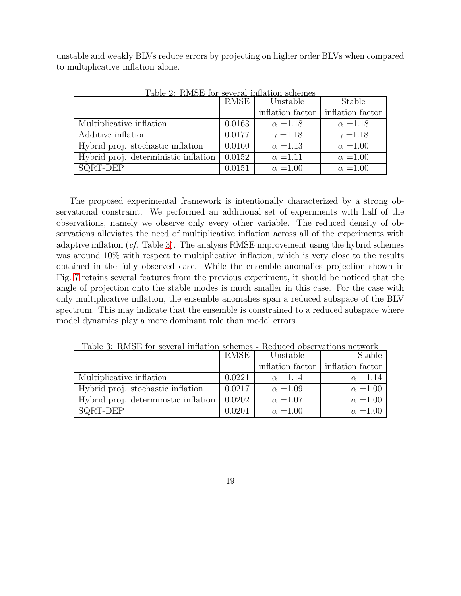unstable and weakly BLVs reduce errors by projecting on higher order BLVs when compared to multiplicative inflation alone.

|                                      | RMSE   | Unstable         | Stable           |
|--------------------------------------|--------|------------------|------------------|
|                                      |        | inflation factor | inflation factor |
| Multiplicative inflation             | 0.0163 | $\alpha = 1.18$  | $\alpha = 1.18$  |
| Additive inflation                   | 0.0177 | $\gamma = 1.18$  | $\gamma = 1.18$  |
| Hybrid proj. stochastic inflation    | 0.0160 | $\alpha = 1.13$  | $\alpha = 1.00$  |
| Hybrid proj. deterministic inflation | 0.0152 | $\alpha$ =1.11   | $\alpha = 1.00$  |
| SQRT-DEP                             | 0.0151 | $\alpha = 1.00$  | $\alpha = 1.00$  |

<span id="page-18-0"></span>Table 2: RMSE for several inflation schemes

The proposed experimental framework is intentionally characterized by a strong observational constraint. We performed an additional set of experiments with half of the observations, namely we observe only every other variable. The reduced density of observations alleviates the need of multiplicative inflation across all of the experiments with adaptive inflation  $(cf.$  Table [3\)](#page-18-1). The analysis RMSE improvement using the hybrid schemes was around 10% with respect to multiplicative inflation, which is very close to the results obtained in the fully observed case. While the ensemble anomalies projection shown in Fig. [7](#page-20-0) retains several features from the previous experiment, it should be noticed that the angle of projection onto the stable modes is much smaller in this case. For the case with only multiplicative inflation, the ensemble anomalies span a reduced subspace of the BLV spectrum. This may indicate that the ensemble is constrained to a reduced subspace where model dynamics play a more dominant role than model errors.

|                                      | RMSE   | Unstable                            | Stable          |
|--------------------------------------|--------|-------------------------------------|-----------------|
|                                      |        | inflation factor   inflation factor |                 |
| Multiplicative inflation             | 0.0221 | $\alpha = 1.14$                     | $\alpha = 1.14$ |
| Hybrid proj. stochastic inflation    | 0.0217 | $\alpha = 1.09$                     | $\alpha = 1.00$ |
| Hybrid proj. deterministic inflation | 0.0202 | $\alpha = 1.07$                     | $\alpha = 1.00$ |
| SQRT-DEP                             | 0.0201 | $\alpha = 1.00$                     | $\alpha = 1.00$ |

<span id="page-18-1"></span>Table 3: RMSE for several inflation schemes - Reduced observations network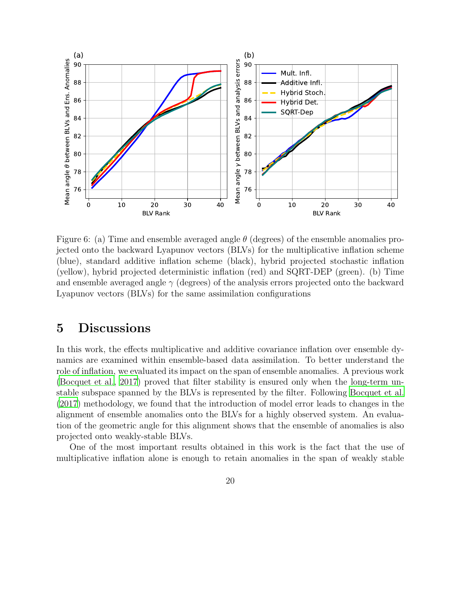

<span id="page-19-0"></span>Figure 6: (a) Time and ensemble averaged angle  $\theta$  (degrees) of the ensemble anomalies projected onto the backward Lyapunov vectors (BLVs) for the multiplicative inflation scheme (blue), standard additive inflation scheme (black), hybrid projected stochastic inflation (yellow), hybrid projected deterministic inflation (red) and SQRT-DEP (green). (b) Time and ensemble averaged angle  $\gamma$  (degrees) of the analysis errors projected onto the backward Lyapunov vectors (BLVs) for the same assimilation configurations

### 5 Discussions

In this work, the effects multiplicative and additive covariance inflation over ensemble dynamics are examined within ensemble-based data assimilation. To better understand the role of inflation, we evaluated its impact on the span of ensemble anomalies. A previous work [\(Bocquet et al.](#page-22-0), [2017\)](#page-22-0) proved that filter stability is ensured only when the long-term unstable subspace spanned by the BLVs is represented by the filter. Following [Bocquet et al.](#page-22-0) [\(2017\)](#page-22-0) methodology, we found that the introduction of model error leads to changes in the alignment of ensemble anomalies onto the BLVs for a highly observed system. An evaluation of the geometric angle for this alignment shows that the ensemble of anomalies is also projected onto weakly-stable BLVs.

One of the most important results obtained in this work is the fact that the use of multiplicative inflation alone is enough to retain anomalies in the span of weakly stable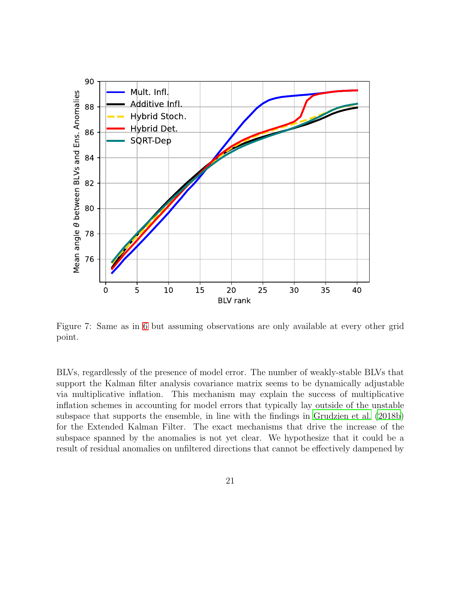

<span id="page-20-0"></span>Figure 7: Same as in [6](#page-19-0) but assuming observations are only available at every other grid point.

BLVs, regardlessly of the presence of model error. The number of weakly-stable BLVs that support the Kalman filter analysis covariance matrix seems to be dynamically adjustable via multiplicative inflation. This mechanism may explain the success of multiplicative inflation schemes in accounting for model errors that typically lay outside of the unstable subspace that supports the ensemble, in line with the findings in [Grudzien et al. \(2018b](#page-23-2)) for the Extended Kalman Filter. The exact mechanisms that drive the increase of the subspace spanned by the anomalies is not yet clear. We hypothesize that it could be a result of residual anomalies on unfiltered directions that cannot be effectively dampened by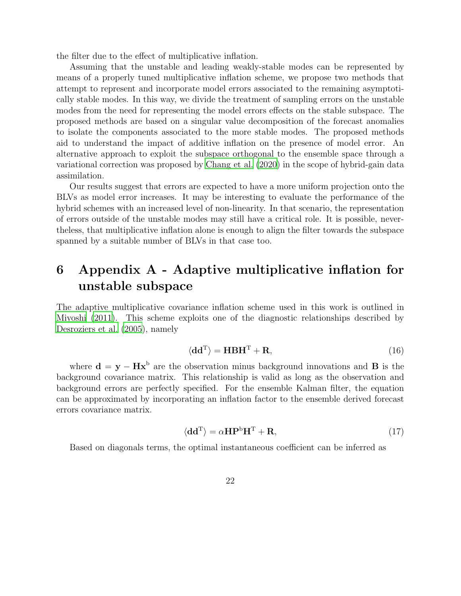the filter due to the effect of multiplicative inflation.

Assuming that the unstable and leading weakly-stable modes can be represented by means of a properly tuned multiplicative inflation scheme, we propose two methods that attempt to represent and incorporate model errors associated to the remaining asymptotically stable modes. In this way, we divide the treatment of sampling errors on the unstable modes from the need for representing the model errors effects on the stable subspace. The proposed methods are based on a singular value decomposition of the forecast anomalies to isolate the components associated to the more stable modes. The proposed methods aid to understand the impact of additive inflation on the presence of model error. An alternative approach to exploit the subspace orthogonal to the ensemble space through a variational correction was proposed by [Chang et al. \(2020\)](#page-23-8) in the scope of hybrid-gain data assimilation.

Our results suggest that errors are expected to have a more uniform projection onto the BLVs as model error increases. It may be interesting to evaluate the performance of the hybrid schemes with an increased level of non-linearity. In that scenario, the representation of errors outside of the unstable modes may still have a critical role. It is possible, nevertheless, that multiplicative inflation alone is enough to align the filter towards the subspace spanned by a suitable number of BLVs in that case too.

# 6 Appendix A - Adaptive multiplicative inflation for unstable subspace

The adaptive multiplicative covariance inflation scheme used in this work is outlined in [Miyoshi \(2011\)](#page-24-4). This scheme exploits one of the diagnostic relationships described by [Desroziers et al. \(2005\)](#page-23-9), namely

$$
\langle \mathbf{d} \mathbf{d}^{\mathrm{T}} \rangle = \mathbf{H} \mathbf{B} \mathbf{H}^{\mathrm{T}} + \mathbf{R},\tag{16}
$$

where  $\mathbf{d} = \mathbf{y} - \mathbf{H}\mathbf{x}^{\text{b}}$  are the observation minus background innovations and **B** is the background covariance matrix. This relationship is valid as long as the observation and background errors are perfectly specified. For the ensemble Kalman filter, the equation can be approximated by incorporating an inflation factor to the ensemble derived forecast errors covariance matrix.

$$
\langle \mathbf{d} \mathbf{d}^{\mathrm{T}} \rangle = \alpha \mathbf{H} \mathbf{P}^{\mathrm{b}} \mathbf{H}^{\mathrm{T}} + \mathbf{R},\tag{17}
$$

Based on diagonals terms, the optimal instantaneous coefficient can be inferred as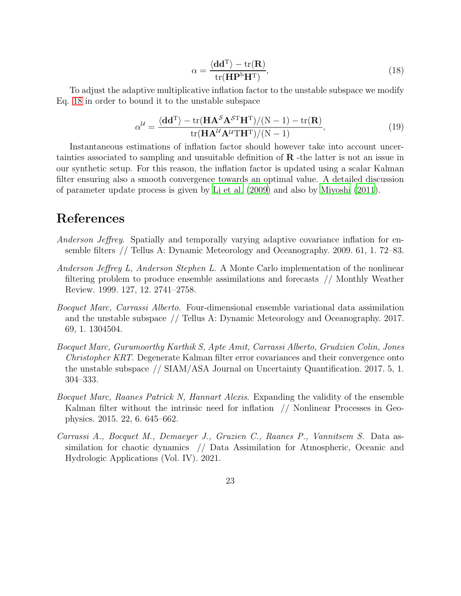<span id="page-22-6"></span>
$$
\alpha = \frac{\langle \mathbf{dd}^{\mathrm{T}} \rangle - \text{tr}(\mathbf{R})}{\text{tr}(\mathbf{HP}^{\mathrm{b}} \mathbf{H}^{\mathrm{T}})},\tag{18}
$$

To adjust the adaptive multiplicative inflation factor to the unstable subspace we modify Eq. [18](#page-22-6) in order to bound it to the unstable subspace

$$
\alpha^{\mathcal{U}} = \frac{\langle \mathbf{dd}^{\mathrm{T}} \rangle - \text{tr}(\mathbf{HA}^{\mathcal{S}} \mathbf{A}^{\mathcal{S}\mathrm{T}} \mathbf{H}^{\mathrm{T}}) / (\mathrm{N} - 1) - \text{tr}(\mathbf{R})}{\text{tr}(\mathbf{HA}^{\mathcal{U}} \mathbf{A}^{\mathcal{U}\mathrm{T}} \mathbf{H}^{\mathrm{T}}) / (\mathrm{N} - 1)},\tag{19}
$$

Instantaneous estimations of inflation factor should however take into account uncertainties associated to sampling and unsuitable definition of R -the latter is not an issue in our synthetic setup. For this reason, the inflation factor is updated using a scalar Kalman filter ensuring also a smooth convergence towards an optimal value. A detailed discussion of parameter update process is given by [Li et al. \(2009](#page-24-3)) and also by [Miyoshi \(2011\)](#page-24-4).

### References

- <span id="page-22-4"></span>Anderson Jeffrey. Spatially and temporally varying adaptive covariance inflation for ensemble filters // Tellus A: Dynamic Meteorology and Oceanography. 2009. 61, 1. 72–83.
- <span id="page-22-3"></span>Anderson Jeffrey L, Anderson Stephen L. A Monte Carlo implementation of the nonlinear filtering problem to produce ensemble assimilations and forecasts // Monthly Weather Review. 1999. 127, 12. 2741–2758.
- <span id="page-22-1"></span>Bocquet Marc, Carrassi Alberto. Four-dimensional ensemble variational data assimilation and the unstable subspace // Tellus A: Dynamic Meteorology and Oceanography. 2017. 69, 1. 1304504.
- <span id="page-22-0"></span>Bocquet Marc, Gurumoorthy Karthik S, Apte Amit, Carrassi Alberto, Grudzien Colin, Jones Christopher KRT. Degenerate Kalman filter error covariances and their convergence onto the unstable subspace // SIAM/ASA Journal on Uncertainty Quantification. 2017. 5, 1. 304–333.
- <span id="page-22-5"></span>Bocquet Marc, Raanes Patrick N, Hannart Alexis. Expanding the validity of the ensemble Kalman filter without the intrinsic need for inflation // Nonlinear Processes in Geophysics. 2015. 22, 6. 645–662.
- <span id="page-22-2"></span>Carrassi A., Bocquet M., Demaeyer J., Gruzien C., Raanes P., Vannitsem S. Data assimilation for chaotic dynamics // Data Assimilation for Atmospheric, Oceanic and Hydrologic Applications (Vol. IV). 2021.
	- 23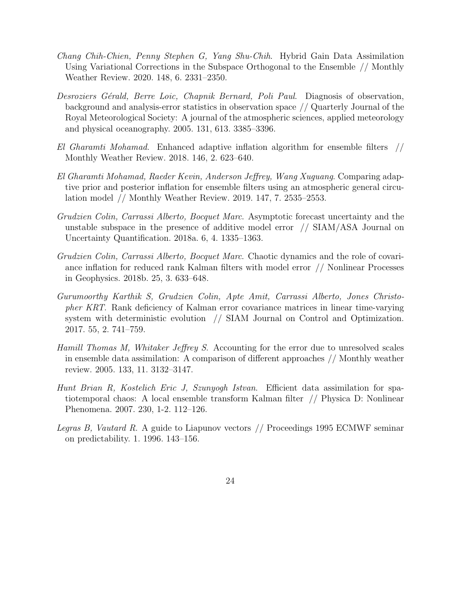- <span id="page-23-8"></span>Chang Chih-Chien, Penny Stephen G, Yang Shu-Chih. Hybrid Gain Data Assimilation Using Variational Corrections in the Subspace Orthogonal to the Ensemble // Monthly Weather Review. 2020. 148, 6. 2331–2350.
- <span id="page-23-9"></span>Desroziers Gérald, Berre Loic, Chapnik Bernard, Poli Paul. Diagnosis of observation, background and analysis-error statistics in observation space // Quarterly Journal of the Royal Meteorological Society: A journal of the atmospheric sciences, applied meteorology and physical oceanography. 2005. 131, 613. 3385–3396.
- <span id="page-23-4"></span>El Gharamti Mohamad. Enhanced adaptive inflation algorithm for ensemble filters // Monthly Weather Review. 2018. 146, 2. 623–640.
- <span id="page-23-5"></span>El Gharamti Mohamad, Raeder Kevin, Anderson Jeffrey, Wang Xuguang. Comparing adaptive prior and posterior inflation for ensemble filters using an atmospheric general circulation model // Monthly Weather Review. 2019. 147, 7. 2535–2553.
- <span id="page-23-1"></span>Grudzien Colin, Carrassi Alberto, Bocquet Marc. Asymptotic forecast uncertainty and the unstable subspace in the presence of additive model error // SIAM/ASA Journal on Uncertainty Quantification. 2018a. 6, 4. 1335–1363.
- <span id="page-23-2"></span>Grudzien Colin, Carrassi Alberto, Bocquet Marc. Chaotic dynamics and the role of covariance inflation for reduced rank Kalman filters with model error // Nonlinear Processes in Geophysics. 2018b. 25, 3. 633–648.
- <span id="page-23-0"></span>Gurumoorthy Karthik S, Grudzien Colin, Apte Amit, Carrassi Alberto, Jones Christopher KRT. Rank deficiency of Kalman error covariance matrices in linear time-varying system with deterministic evolution // SIAM Journal on Control and Optimization. 2017. 55, 2. 741–759.
- <span id="page-23-3"></span>Hamill Thomas M, Whitaker Jeffrey S. Accounting for the error due to unresolved scales in ensemble data assimilation: A comparison of different approaches // Monthly weather review. 2005. 133, 11. 3132–3147.
- <span id="page-23-6"></span>Hunt Brian R, Kostelich Eric J, Szunyogh Istvan. Efficient data assimilation for spatiotemporal chaos: A local ensemble transform Kalman filter // Physica D: Nonlinear Phenomena. 2007. 230, 1-2. 112–126.
- <span id="page-23-7"></span>Legras B, Vautard R. A guide to Liapunov vectors // Proceedings 1995 ECMWF seminar on predictability. 1. 1996. 143–156.